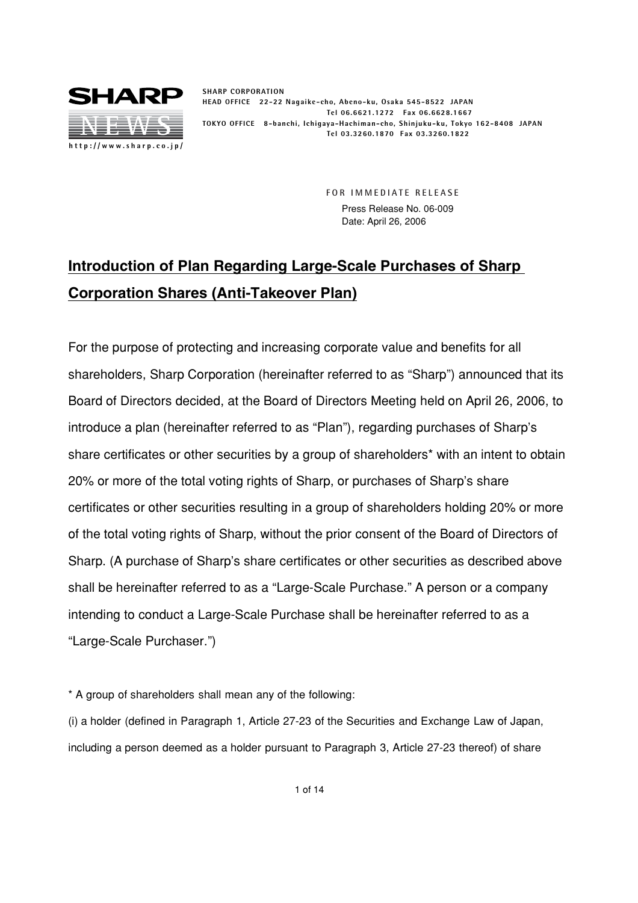

**SHARP CORPORATION HEAD OFFICE 22-22 Nagaike-cho, Abeno-ku, Osaka 545-8522 JAPAN Tel 06.6621.1272 Fax 06.6628.1667 TOKYO OFFICE 8-banchi, Ichigaya-Hachiman-cho, Shinjuku-ku, Tokyo 162-8408 JAPAN Tel 03.3260.1870 Fax 03.3260.1822**

> **FOR IMMEDIATE RELEASE** Press Release No. 06-009 Date: April 26, 2006

# **Introduction of Plan Regarding Large-Scale Purchases of Sharp Corporation Shares (Anti-Takeover Plan)**

For the purpose of protecting and increasing corporate value and benefits for all shareholders, Sharp Corporation (hereinafter referred to as "Sharp") announced that its Board of Directors decided, at the Board of Directors Meeting held on April 26, 2006, to introduce a plan (hereinafter referred to as "Plan"), regarding purchases of Sharp's share certificates or other securities by a group of shareholders<sup>\*</sup> with an intent to obtain 20% or more of the total voting rights of Sharp, or purchases of Sharp's share certificates or other securities resulting in a group of shareholders holding 20% or more of the total voting rights of Sharp, without the prior consent of the Board of Directors of Sharp. (A purchase of Sharp's share certificates or other securities as described above shall be hereinafter referred to as a "Large-Scale Purchase." A person or a company intending to conduct a Large-Scale Purchase shall be hereinafter referred to as a "Large-Scale Purchaser.")

\* A group of shareholders shall mean any of the following:

(i) a holder (defined in Paragraph 1, Article 27-23 of the Securities and Exchange Law of Japan, including a person deemed as a holder pursuant to Paragraph 3, Article 27-23 thereof) of share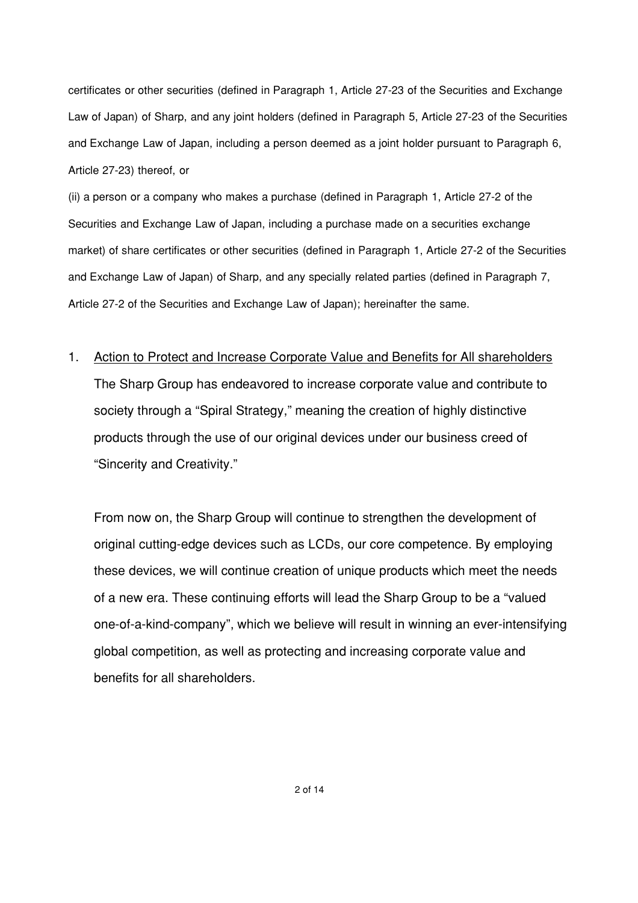certificates or other securities (defined in Paragraph 1, Article 27-23 of the Securities and Exchange Law of Japan) of Sharp, and any joint holders (defined in Paragraph 5, Article 27-23 of the Securities and Exchange Law of Japan, including a person deemed as a joint holder pursuant to Paragraph 6, Article 27-23) thereof, or

(ii) a person or a company who makes a purchase (defined in Paragraph 1, Article 27-2 of the Securities and Exchange Law of Japan, including a purchase made on a securities exchange market) of share certificates or other securities (defined in Paragraph 1, Article 27-2 of the Securities and Exchange Law of Japan) of Sharp, and any specially related parties (defined in Paragraph 7, Article 27-2 of the Securities and Exchange Law of Japan); hereinafter the same.

1. Action to Protect and Increase Corporate Value and Benefits for All shareholders The Sharp Group has endeavored to increase corporate value and contribute to society through a "Spiral Strategy," meaning the creation of highly distinctive products through the use of our original devices under our business creed of "Sincerity and Creativity."

From now on, the Sharp Group will continue to strengthen the development of original cutting-edge devices such as LCDs, our core competence. By employing these devices, we will continue creation of unique products which meet the needs of a new era. These continuing efforts will lead the Sharp Group to be a "valued one-of-a-kind-company", which we believe will result in winning an ever-intensifying global competition, as well as protecting and increasing corporate value and benefits for all shareholders.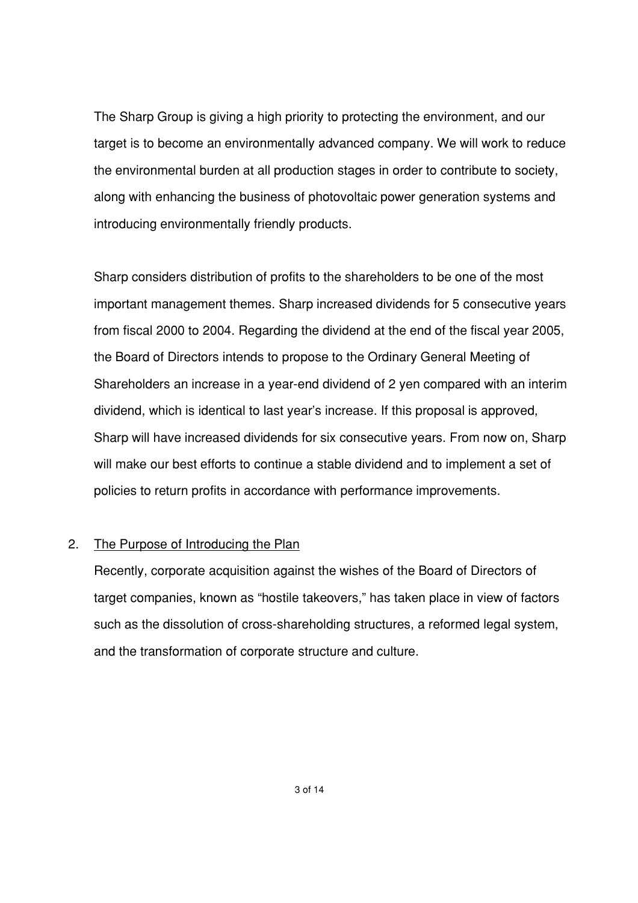The Sharp Group is giving a high priority to protecting the environment, and our target is to become an environmentally advanced company. We will work to reduce the environmental burden at all production stages in order to contribute to society, along with enhancing the business of photovoltaic power generation systems and introducing environmentally friendly products.

Sharp considers distribution of profits to the shareholders to be one of the most important management themes. Sharp increased dividends for 5 consecutive years from fiscal 2000 to 2004. Regarding the dividend at the end of the fiscal year 2005, the Board of Directors intends to propose to the Ordinary General Meeting of Shareholders an increase in a year-end dividend of 2 yen compared with an interim dividend, which is identical to last year's increase. If this proposal is approved, Sharp will have increased dividends for six consecutive years. From now on, Sharp will make our best efforts to continue a stable dividend and to implement a set of policies to return profits in accordance with performance improvements.

#### 2. The Purpose of Introducing the Plan

Recently, corporate acquisition against the wishes of the Board of Directors of target companies, known as "hostile takeovers," has taken place in view of factors such as the dissolution of cross-shareholding structures, a reformed legal system, and the transformation of corporate structure and culture.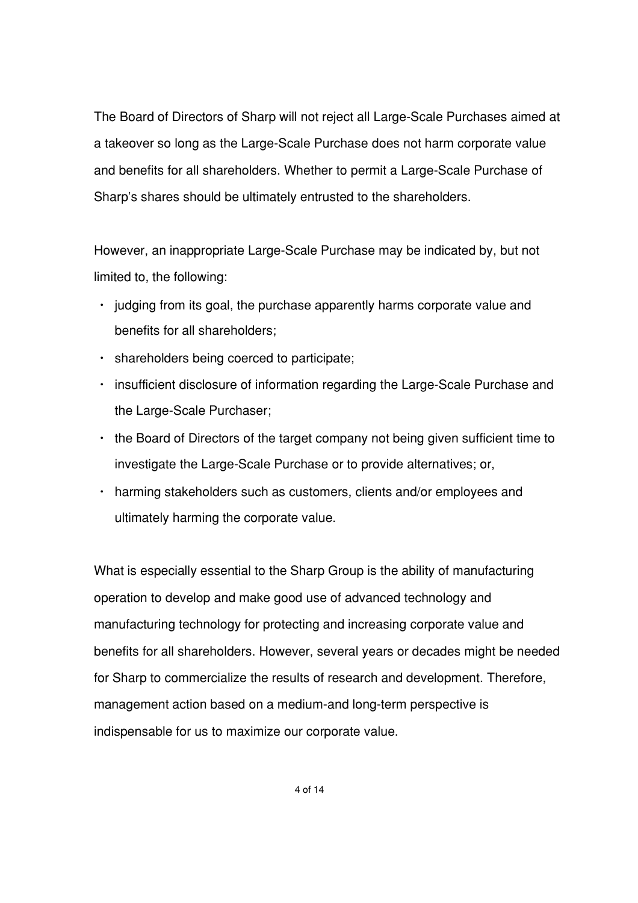The Board of Directors of Sharp will not reject all Large-Scale Purchases aimed at a takeover so long as the Large-Scale Purchase does not harm corporate value and benefits for all shareholders. Whether to permit a Large-Scale Purchase of Sharp's shares should be ultimately entrusted to the shareholders.

However, an inappropriate Large-Scale Purchase may be indicated by, but not limited to, the following:

- $\cdot$  judging from its goal, the purchase apparently harms corporate value and benefits for all shareholders;
- shareholders being coerced to participate;
- insufficient disclosure of information regarding the Large-Scale Purchase and the Large-Scale Purchaser;
- $\cdot$  the Board of Directors of the target company not being given sufficient time to investigate the Large-Scale Purchase or to provide alternatives; or,
- harming stakeholders such as customers, clients and/or employees and ultimately harming the corporate value.

What is especially essential to the Sharp Group is the ability of manufacturing operation to develop and make good use of advanced technology and manufacturing technology for protecting and increasing corporate value and benefits for all shareholders. However, several years or decades might be needed for Sharp to commercialize the results of research and development. Therefore, management action based on a medium-and long-term perspective is indispensable for us to maximize our corporate value.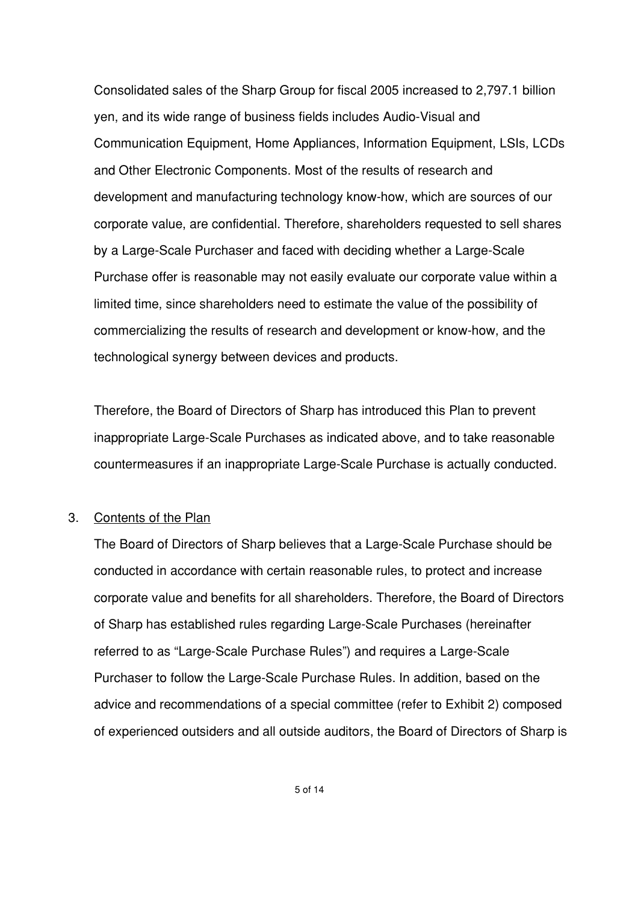Consolidated sales of the Sharp Group for fiscal 2005 increased to 2,797.1 billion yen, and its wide range of business fields includes Audio-Visual and Communication Equipment, Home Appliances, Information Equipment, LSIs, LCDs and Other Electronic Components. Most of the results of research and development and manufacturing technology know-how, which are sources of our corporate value, are confidential. Therefore, shareholders requested to sell shares by a Large-Scale Purchaser and faced with deciding whether a Large-Scale Purchase offer is reasonable may not easily evaluate our corporate value within a limited time, since shareholders need to estimate the value of the possibility of commercializing the results of research and development or know-how, and the technological synergy between devices and products.

Therefore, the Board of Directors of Sharp has introduced this Plan to prevent inappropriate Large-Scale Purchases as indicated above, and to take reasonable countermeasures if an inappropriate Large-Scale Purchase is actually conducted.

#### 3. Contents of the Plan

The Board of Directors of Sharp believes that a Large-Scale Purchase should be conducted in accordance with certain reasonable rules, to protect and increase corporate value and benefits for all shareholders. Therefore, the Board of Directors of Sharp has established rules regarding Large-Scale Purchases (hereinafter referred to as "Large-Scale Purchase Rules") and requires a Large-Scale Purchaser to follow the Large-Scale Purchase Rules. In addition, based on the advice and recommendations of a special committee (refer to Exhibit 2) composed of experienced outsiders and all outside auditors, the Board of Directors of Sharp is

5 of 14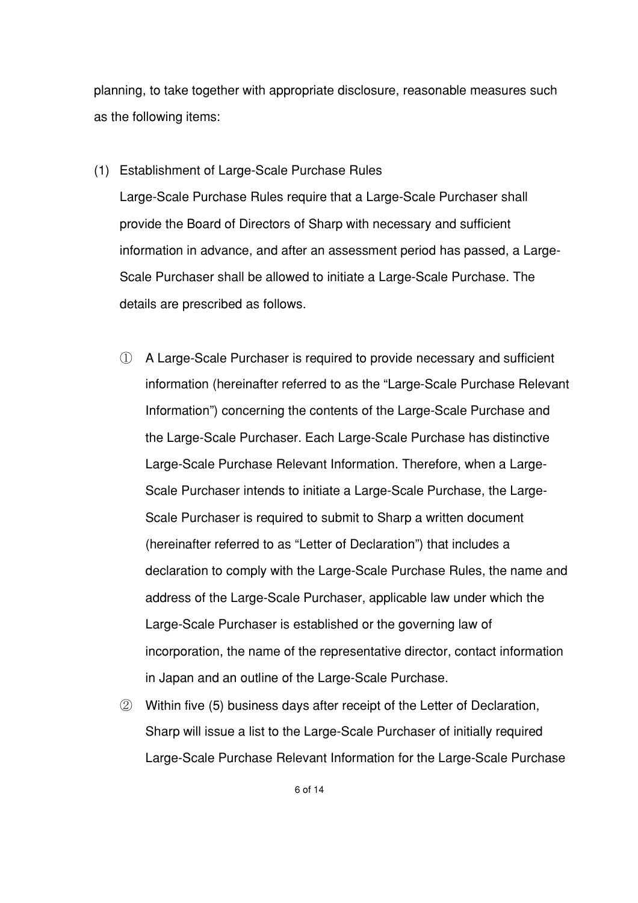planning, to take together with appropriate disclosure, reasonable measures such as the following items:

(1) Establishment of Large-Scale Purchase Rules

Large-Scale Purchase Rules require that a Large-Scale Purchaser shall provide the Board of Directors of Sharp with necessary and sufficient information in advance, and after an assessment period has passed, a Large-Scale Purchaser shall be allowed to initiate a Large-Scale Purchase. The details are prescribed as follows.

- A Large-Scale Purchaser is required to provide necessary and sufficient information (hereinafter referred to as the "Large-Scale Purchase Relevant Information") concerning the contents of the Large-Scale Purchase and the Large-Scale Purchaser. Each Large-Scale Purchase has distinctive Large-Scale Purchase Relevant Information. Therefore, when a Large-Scale Purchaser intends to initiate a Large-Scale Purchase, the Large-Scale Purchaser is required to submit to Sharp a written document (hereinafter referred to as "Letter of Declaration") that includes a declaration to comply with the Large-Scale Purchase Rules, the name and address of the Large-Scale Purchaser, applicable law under which the Large-Scale Purchaser is established or the governing law of incorporation, the name of the representative director, contact information in Japan and an outline of the Large-Scale Purchase.
- Within five (5) business days after receipt of the Letter of Declaration, Sharp will issue a list to the Large-Scale Purchaser of initially required Large-Scale Purchase Relevant Information for the Large-Scale Purchase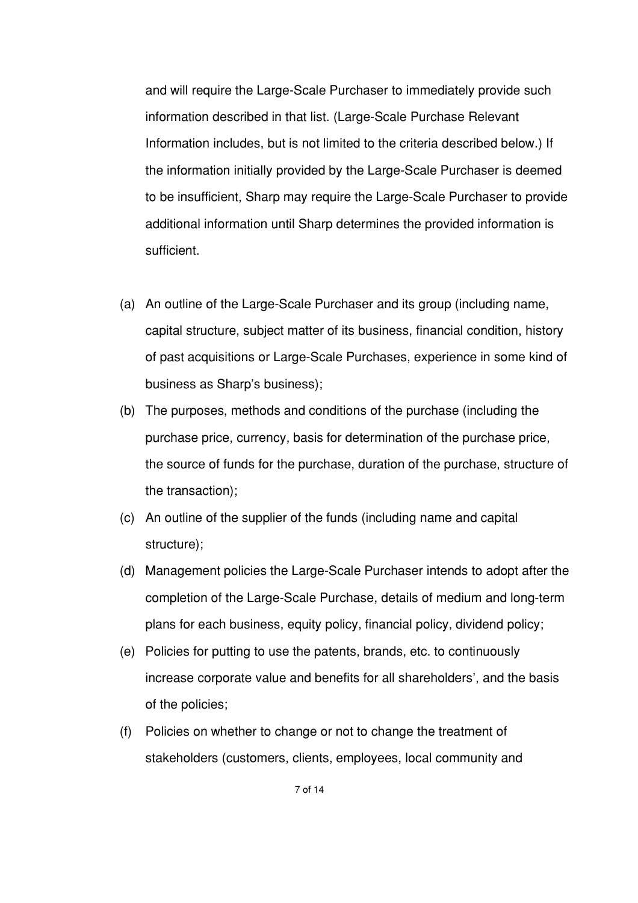and will require the Large-Scale Purchaser to immediately provide such information described in that list. (Large-Scale Purchase Relevant Information includes, but is not limited to the criteria described below.) If the information initially provided by the Large-Scale Purchaser is deemed to be insufficient, Sharp may require the Large-Scale Purchaser to provide additional information until Sharp determines the provided information is sufficient.

- (a) An outline of the Large-Scale Purchaser and its group (including name, capital structure, subject matter of its business, financial condition, history of past acquisitions or Large-Scale Purchases, experience in some kind of business as Sharp's business);
- (b) The purposes, methods and conditions of the purchase (including the purchase price, currency, basis for determination of the purchase price, the source of funds for the purchase, duration of the purchase, structure of the transaction);
- (c) An outline of the supplier of the funds (including name and capital structure);
- (d) Management policies the Large-Scale Purchaser intends to adopt after the completion of the Large-Scale Purchase, details of medium and long-term plans for each business, equity policy, financial policy, dividend policy;
- (e) Policies for putting to use the patents, brands, etc. to continuously increase corporate value and benefits for all shareholders', and the basis of the policies;
- (f) Policies on whether to change or not to change the treatment of stakeholders (customers, clients, employees, local community and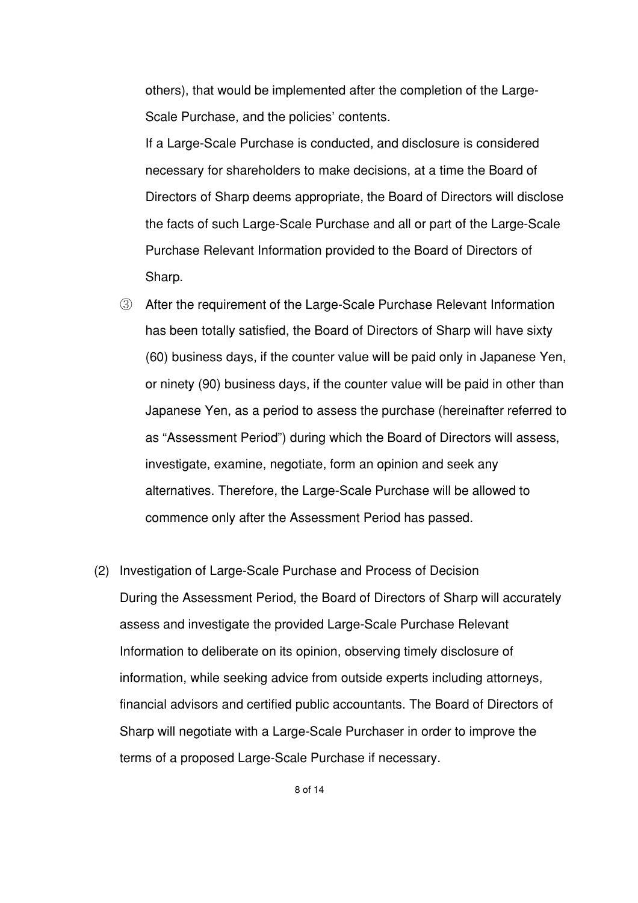others), that would be implemented after the completion of the Large-Scale Purchase, and the policies' contents.

If a Large-Scale Purchase is conducted, and disclosure is considered necessary for shareholders to make decisions, at a time the Board of Directors of Sharp deems appropriate, the Board of Directors will disclose the facts of such Large-Scale Purchase and all or part of the Large-Scale Purchase Relevant Information provided to the Board of Directors of Sharp.

- After the requirement of the Large-Scale Purchase Relevant Information has been totally satisfied, the Board of Directors of Sharp will have sixty (60) business days, if the counter value will be paid only in Japanese Yen, or ninety (90) business days, if the counter value will be paid in other than Japanese Yen, as a period to assess the purchase (hereinafter referred to as "Assessment Period") during which the Board of Directors will assess, investigate, examine, negotiate, form an opinion and seek any alternatives. Therefore, the Large-Scale Purchase will be allowed to commence only after the Assessment Period has passed.
- (2) Investigation of Large-Scale Purchase and Process of Decision During the Assessment Period, the Board of Directors of Sharp will accurately assess and investigate the provided Large-Scale Purchase Relevant Information to deliberate on its opinion, observing timely disclosure of information, while seeking advice from outside experts including attorneys, financial advisors and certified public accountants. The Board of Directors of Sharp will negotiate with a Large-Scale Purchaser in order to improve the terms of a proposed Large-Scale Purchase if necessary.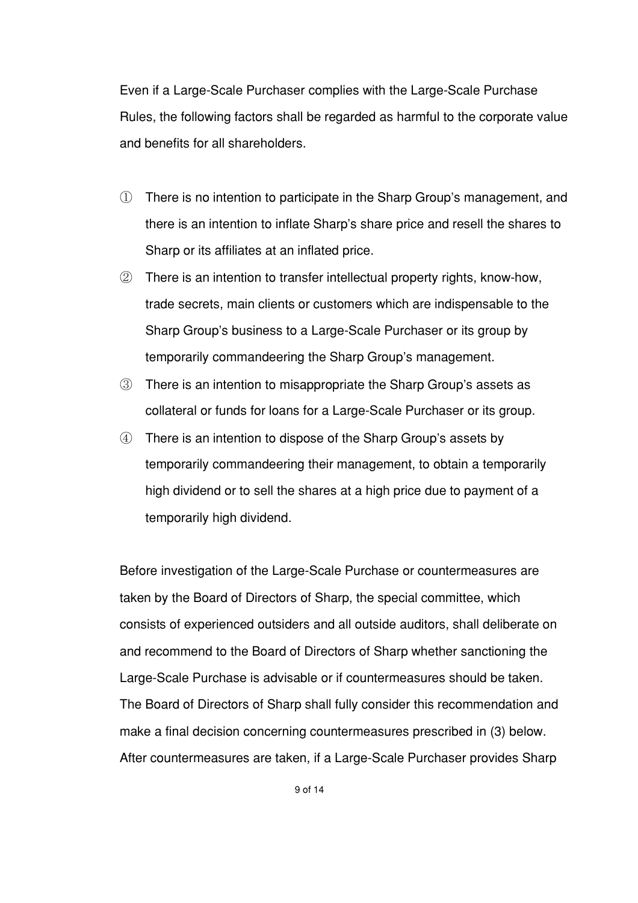Even if a Large-Scale Purchaser complies with the Large-Scale Purchase Rules, the following factors shall be regarded as harmful to the corporate value and benefits for all shareholders.

- There is no intention to participate in the Sharp Group's management, and there is an intention to inflate Sharp's share price and resell the shares to Sharp or its affiliates at an inflated price.
- There is an intention to transfer intellectual property rights, know-how, trade secrets, main clients or customers which are indispensable to the Sharp Group's business to a Large-Scale Purchaser or its group by temporarily commandeering the Sharp Group's management.
- There is an intention to misappropriate the Sharp Group's assets as collateral or funds for loans for a Large-Scale Purchaser or its group.
- There is an intention to dispose of the Sharp Group's assets by temporarily commandeering their management, to obtain a temporarily high dividend or to sell the shares at a high price due to payment of a temporarily high dividend.

Before investigation of the Large-Scale Purchase or countermeasures are taken by the Board of Directors of Sharp, the special committee, which consists of experienced outsiders and all outside auditors, shall deliberate on and recommend to the Board of Directors of Sharp whether sanctioning the Large-Scale Purchase is advisable or if countermeasures should be taken. The Board of Directors of Sharp shall fully consider this recommendation and make a final decision concerning countermeasures prescribed in (3) below. After countermeasures are taken, if a Large-Scale Purchaser provides Sharp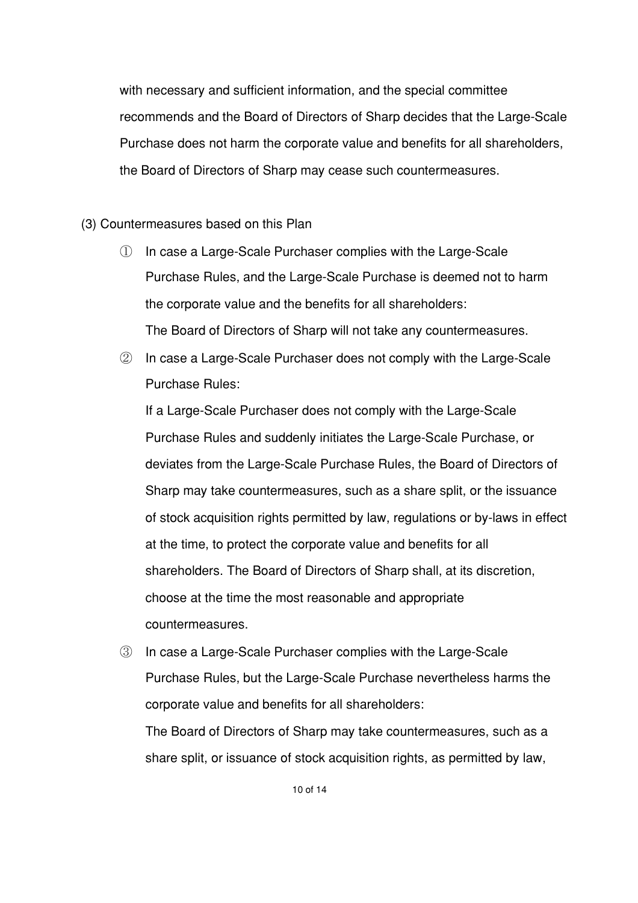with necessary and sufficient information, and the special committee recommends and the Board of Directors of Sharp decides that the Large-Scale Purchase does not harm the corporate value and benefits for all shareholders, the Board of Directors of Sharp may cease such countermeasures.

(3) Countermeasures based on this Plan

- In case a Large-Scale Purchaser complies with the Large-Scale Purchase Rules, and the Large-Scale Purchase is deemed not to harm the corporate value and the benefits for all shareholders: The Board of Directors of Sharp will not take any countermeasures.
- 2 In case a Large-Scale Purchaser does not comply with the Large-Scale Purchase Rules:

If a Large-Scale Purchaser does not comply with the Large-Scale Purchase Rules and suddenly initiates the Large-Scale Purchase, or deviates from the Large-Scale Purchase Rules, the Board of Directors of Sharp may take countermeasures, such as a share split, or the issuance of stock acquisition rights permitted by law, regulations or by-laws in effect at the time, to protect the corporate value and benefits for all shareholders. The Board of Directors of Sharp shall, at its discretion, choose at the time the most reasonable and appropriate countermeasures.

 In case a Large-Scale Purchaser complies with the Large-Scale Purchase Rules, but the Large-Scale Purchase nevertheless harms the corporate value and benefits for all shareholders: The Board of Directors of Sharp may take countermeasures, such as a share split, or issuance of stock acquisition rights, as permitted by law,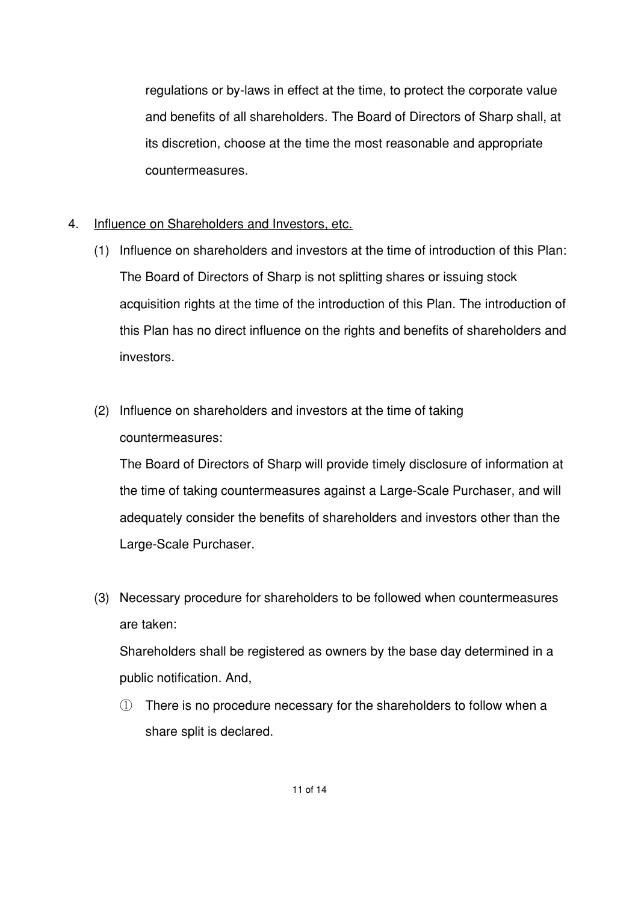regulations or by-laws in effect at the time, to protect the corporate value and benefits of all shareholders. The Board of Directors of Sharp shall, at its discretion, choose at the time the most reasonable and appropriate countermeasures.

- 4. Influence on Shareholders and Investors, etc.
	- (1) Influence on shareholders and investors at the time of introduction of this Plan: The Board of Directors of Sharp is not splitting shares or issuing stock acquisition rights at the time of the introduction of this Plan. The introduction of this Plan has no direct influence on the rights and benefits of shareholders and investors.
	- (2) Influence on shareholders and investors at the time of taking countermeasures:

The Board of Directors of Sharp will provide timely disclosure of information at the time of taking countermeasures against a Large-Scale Purchaser, and will adequately consider the benefits of shareholders and investors other than the Large-Scale Purchaser.

(3) Necessary procedure for shareholders to be followed when countermeasures are taken:

Shareholders shall be registered as owners by the base day determined in a public notification. And,

- There is no procedure necessary for the shareholders to follow when a share split is declared.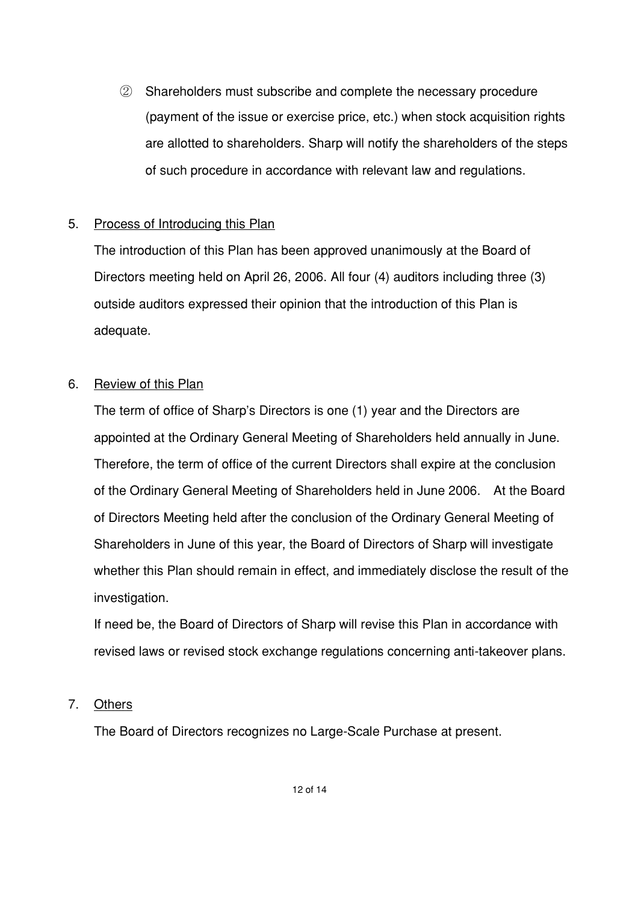Shareholders must subscribe and complete the necessary procedure (payment of the issue or exercise price, etc.) when stock acquisition rights are allotted to shareholders. Sharp will notify the shareholders of the steps of such procedure in accordance with relevant law and regulations.

## 5. Process of Introducing this Plan

The introduction of this Plan has been approved unanimously at the Board of Directors meeting held on April 26, 2006. All four (4) auditors including three (3) outside auditors expressed their opinion that the introduction of this Plan is adequate.

## 6. Review of this Plan

The term of office of Sharp's Directors is one (1) year and the Directors are appointed at the Ordinary General Meeting of Shareholders held annually in June. Therefore, the term of office of the current Directors shall expire at the conclusion of the Ordinary General Meeting of Shareholders held in June 2006. At the Board of Directors Meeting held after the conclusion of the Ordinary General Meeting of Shareholders in June of this year, the Board of Directors of Sharp will investigate whether this Plan should remain in effect, and immediately disclose the result of the investigation.

If need be, the Board of Directors of Sharp will revise this Plan in accordance with revised laws or revised stock exchange regulations concerning anti-takeover plans.

## 7. Others

The Board of Directors recognizes no Large-Scale Purchase at present.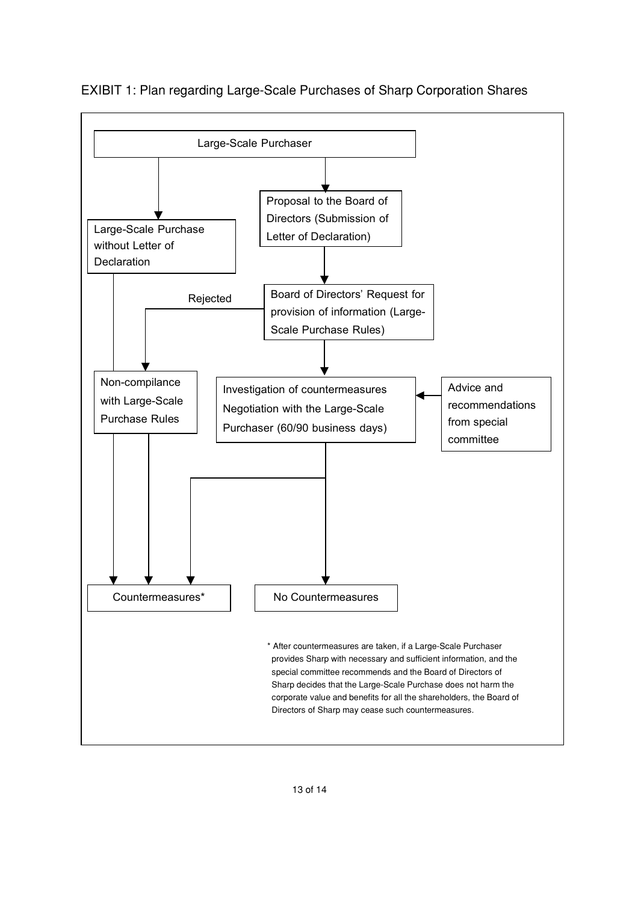

EXIBIT 1: Plan regarding Large-Scale Purchases of Sharp Corporation Shares